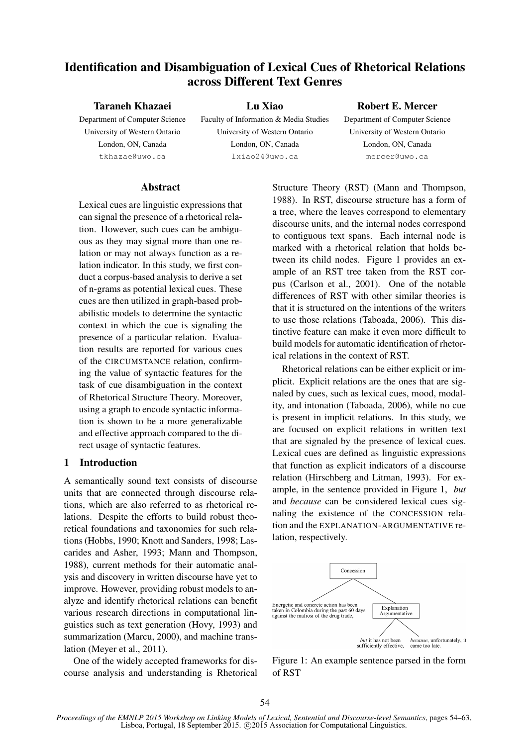# Identification and Disambiguation of Lexical Cues of Rhetorical Relations across Different Text Genres

#### Taraneh Khazaei

Department of Computer Science University of Western Ontario London, ON, Canada tkhazae@uwo.ca

Lu Xiao Faculty of Information & Media Studies University of Western Ontario London, ON, Canada lxiao24@uwo.ca

#### Robert E. Mercer

Department of Computer Science University of Western Ontario London, ON, Canada mercer@uwo.ca

#### **Abstract**

Lexical cues are linguistic expressions that can signal the presence of a rhetorical relation. However, such cues can be ambiguous as they may signal more than one relation or may not always function as a relation indicator. In this study, we first conduct a corpus-based analysis to derive a set of n-grams as potential lexical cues. These cues are then utilized in graph-based probabilistic models to determine the syntactic context in which the cue is signaling the presence of a particular relation. Evaluation results are reported for various cues of the CIRCUMSTANCE relation, confirming the value of syntactic features for the task of cue disambiguation in the context of Rhetorical Structure Theory. Moreover, using a graph to encode syntactic information is shown to be a more generalizable and effective approach compared to the direct usage of syntactic features.

#### 1 Introduction

A semantically sound text consists of discourse units that are connected through discourse relations, which are also referred to as rhetorical relations. Despite the efforts to build robust theoretical foundations and taxonomies for such relations (Hobbs, 1990; Knott and Sanders, 1998; Lascarides and Asher, 1993; Mann and Thompson, 1988), current methods for their automatic analysis and discovery in written discourse have yet to improve. However, providing robust models to analyze and identify rhetorical relations can benefit various research directions in computational linguistics such as text generation (Hovy, 1993) and summarization (Marcu, 2000), and machine translation (Meyer et al., 2011).

One of the widely accepted frameworks for discourse analysis and understanding is Rhetorical Structure Theory (RST) (Mann and Thompson, 1988). In RST, discourse structure has a form of a tree, where the leaves correspond to elementary discourse units, and the internal nodes correspond to contiguous text spans. Each internal node is marked with a rhetorical relation that holds between its child nodes. Figure 1 provides an example of an RST tree taken from the RST corpus (Carlson et al., 2001). One of the notable differences of RST with other similar theories is that it is structured on the intentions of the writers to use those relations (Taboada, 2006). This distinctive feature can make it even more difficult to build models for automatic identification of rhetorical relations in the context of RST.

Rhetorical relations can be either explicit or implicit. Explicit relations are the ones that are signaled by cues, such as lexical cues, mood, modality, and intonation (Taboada, 2006), while no cue is present in implicit relations. In this study, we are focused on explicit relations in written text that are signaled by the presence of lexical cues. Lexical cues are defined as linguistic expressions that function as explicit indicators of a discourse relation (Hirschberg and Litman, 1993). For example, in the sentence provided in Figure 1, *but* and *because* can be considered lexical cues signaling the existence of the CONCESSION relation and the EXPLANATION-ARGUMENTATIVE relation, respectively.



Figure 1: An example sentence parsed in the form of RST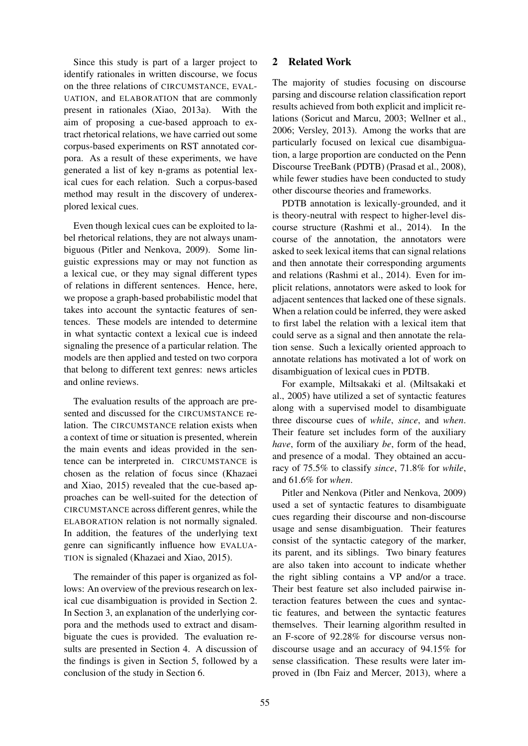Since this study is part of a larger project to identify rationales in written discourse, we focus on the three relations of CIRCUMSTANCE, EVAL-UATION, and ELABORATION that are commonly present in rationales (Xiao, 2013a). With the aim of proposing a cue-based approach to extract rhetorical relations, we have carried out some corpus-based experiments on RST annotated corpora. As a result of these experiments, we have generated a list of key n-grams as potential lexical cues for each relation. Such a corpus-based method may result in the discovery of underexplored lexical cues.

Even though lexical cues can be exploited to label rhetorical relations, they are not always unambiguous (Pitler and Nenkova, 2009). Some linguistic expressions may or may not function as a lexical cue, or they may signal different types of relations in different sentences. Hence, here, we propose a graph-based probabilistic model that takes into account the syntactic features of sentences. These models are intended to determine in what syntactic context a lexical cue is indeed signaling the presence of a particular relation. The models are then applied and tested on two corpora that belong to different text genres: news articles and online reviews.

The evaluation results of the approach are presented and discussed for the CIRCUMSTANCE relation. The CIRCUMSTANCE relation exists when a context of time or situation is presented, wherein the main events and ideas provided in the sentence can be interpreted in. CIRCUMSTANCE is chosen as the relation of focus since (Khazaei and Xiao, 2015) revealed that the cue-based approaches can be well-suited for the detection of CIRCUMSTANCE across different genres, while the ELABORATION relation is not normally signaled. In addition, the features of the underlying text genre can significantly influence how EVALUA-TION is signaled (Khazaei and Xiao, 2015).

The remainder of this paper is organized as follows: An overview of the previous research on lexical cue disambiguation is provided in Section 2. In Section 3, an explanation of the underlying corpora and the methods used to extract and disambiguate the cues is provided. The evaluation results are presented in Section 4. A discussion of the findings is given in Section 5, followed by a conclusion of the study in Section 6.

### 2 Related Work

The majority of studies focusing on discourse parsing and discourse relation classification report results achieved from both explicit and implicit relations (Soricut and Marcu, 2003; Wellner et al., 2006; Versley, 2013). Among the works that are particularly focused on lexical cue disambiguation, a large proportion are conducted on the Penn Discourse TreeBank (PDTB) (Prasad et al., 2008), while fewer studies have been conducted to study other discourse theories and frameworks.

PDTB annotation is lexically-grounded, and it is theory-neutral with respect to higher-level discourse structure (Rashmi et al., 2014). In the course of the annotation, the annotators were asked to seek lexical items that can signal relations and then annotate their corresponding arguments and relations (Rashmi et al., 2014). Even for implicit relations, annotators were asked to look for adjacent sentences that lacked one of these signals. When a relation could be inferred, they were asked to first label the relation with a lexical item that could serve as a signal and then annotate the relation sense. Such a lexically oriented approach to annotate relations has motivated a lot of work on disambiguation of lexical cues in PDTB.

For example, Miltsakaki et al. (Miltsakaki et al., 2005) have utilized a set of syntactic features along with a supervised model to disambiguate three discourse cues of *while*, *since*, and *when*. Their feature set includes form of the auxiliary *have*, form of the auxiliary *be*, form of the head, and presence of a modal. They obtained an accuracy of 75.5% to classify *since*, 71.8% for *while*, and 61.6% for *when*.

Pitler and Nenkova (Pitler and Nenkova, 2009) used a set of syntactic features to disambiguate cues regarding their discourse and non-discourse usage and sense disambiguation. Their features consist of the syntactic category of the marker, its parent, and its siblings. Two binary features are also taken into account to indicate whether the right sibling contains a VP and/or a trace. Their best feature set also included pairwise interaction features between the cues and syntactic features, and between the syntactic features themselves. Their learning algorithm resulted in an F-score of 92.28% for discourse versus nondiscourse usage and an accuracy of 94.15% for sense classification. These results were later improved in (Ibn Faiz and Mercer, 2013), where a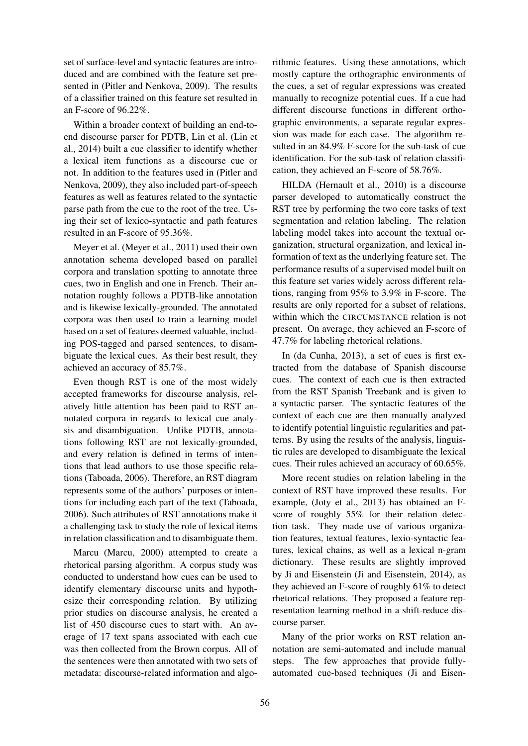set of surface-level and syntactic features are introduced and are combined with the feature set presented in (Pitler and Nenkova, 2009). The results of a classifier trained on this feature set resulted in an F-score of 96.22%.

Within a broader context of building an end-toend discourse parser for PDTB, Lin et al. (Lin et al., 2014) built a cue classifier to identify whether a lexical item functions as a discourse cue or not. In addition to the features used in (Pitler and Nenkova, 2009), they also included part-of-speech features as well as features related to the syntactic parse path from the cue to the root of the tree. Using their set of lexico-syntactic and path features resulted in an F-score of 95.36%.

Meyer et al. (Meyer et al., 2011) used their own annotation schema developed based on parallel corpora and translation spotting to annotate three cues, two in English and one in French. Their annotation roughly follows a PDTB-like annotation and is likewise lexically-grounded. The annotated corpora was then used to train a learning model based on a set of features deemed valuable, including POS-tagged and parsed sentences, to disambiguate the lexical cues. As their best result, they achieved an accuracy of 85.7%.

Even though RST is one of the most widely accepted frameworks for discourse analysis, relatively little attention has been paid to RST annotated corpora in regards to lexical cue analysis and disambiguation. Unlike PDTB, annotations following RST are not lexically-grounded, and every relation is defined in terms of intentions that lead authors to use those specific relations (Taboada, 2006). Therefore, an RST diagram represents some of the authors' purposes or intentions for including each part of the text (Taboada, 2006). Such attributes of RST annotations make it a challenging task to study the role of lexical items in relation classification and to disambiguate them.

Marcu (Marcu, 2000) attempted to create a rhetorical parsing algorithm. A corpus study was conducted to understand how cues can be used to identify elementary discourse units and hypothesize their corresponding relation. By utilizing prior studies on discourse analysis, he created a list of 450 discourse cues to start with. An average of 17 text spans associated with each cue was then collected from the Brown corpus. All of the sentences were then annotated with two sets of metadata: discourse-related information and algorithmic features. Using these annotations, which mostly capture the orthographic environments of the cues, a set of regular expressions was created manually to recognize potential cues. If a cue had different discourse functions in different orthographic environments, a separate regular expression was made for each case. The algorithm resulted in an 84.9% F-score for the sub-task of cue identification. For the sub-task of relation classification, they achieved an F-score of 58.76%.

HILDA (Hernault et al., 2010) is a discourse parser developed to automatically construct the RST tree by performing the two core tasks of text segmentation and relation labeling. The relation labeling model takes into account the textual organization, structural organization, and lexical information of text as the underlying feature set. The performance results of a supervised model built on this feature set varies widely across different relations, ranging from 95% to 3.9% in F-score. The results are only reported for a subset of relations, within which the CIRCUMSTANCE relation is not present. On average, they achieved an F-score of 47.7% for labeling rhetorical relations.

In (da Cunha, 2013), a set of cues is first extracted from the database of Spanish discourse cues. The context of each cue is then extracted from the RST Spanish Treebank and is given to a syntactic parser. The syntactic features of the context of each cue are then manually analyzed to identify potential linguistic regularities and patterns. By using the results of the analysis, linguistic rules are developed to disambiguate the lexical cues. Their rules achieved an accuracy of 60.65%.

More recent studies on relation labeling in the context of RST have improved these results. For example, (Joty et al., 2013) has obtained an Fscore of roughly 55% for their relation detection task. They made use of various organization features, textual features, lexio-syntactic features, lexical chains, as well as a lexical n-gram dictionary. These results are slightly improved by Ji and Eisenstein (Ji and Eisenstein, 2014), as they achieved an F-score of roughly 61% to detect rhetorical relations. They proposed a feature representation learning method in a shift-reduce discourse parser.

Many of the prior works on RST relation annotation are semi-automated and include manual steps. The few approaches that provide fullyautomated cue-based techniques (Ji and Eisen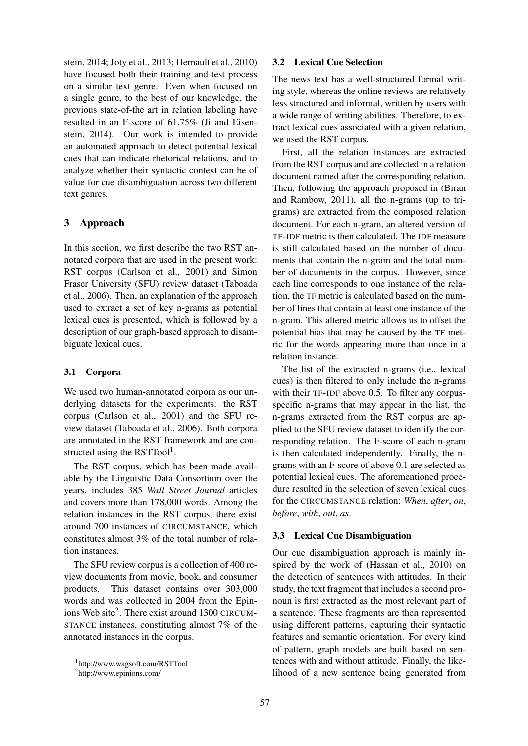stein, 2014; Joty et al., 2013; Hernault et al., 2010) have focused both their training and test process on a similar text genre. Even when focused on a single genre, to the best of our knowledge, the previous state-of-the art in relation labeling have resulted in an F-score of 61.75% (Ji and Eisenstein, 2014). Our work is intended to provide an automated approach to detect potential lexical cues that can indicate rhetorical relations, and to analyze whether their syntactic context can be of value for cue disambiguation across two different text genres.

### 3 Approach

In this section, we first describe the two RST annotated corpora that are used in the present work: RST corpus (Carlson et al., 2001) and Simon Fraser University (SFU) review dataset (Taboada et al., 2006). Then, an explanation of the approach used to extract a set of key n-grams as potential lexical cues is presented, which is followed by a description of our graph-based approach to disambiguate lexical cues.

### 3.1 Corpora

We used two human-annotated corpora as our underlying datasets for the experiments: the RST corpus (Carlson et al., 2001) and the SFU review dataset (Taboada et al., 2006). Both corpora are annotated in the RST framework and are constructed using the RSTTool<sup>1</sup>.

The RST corpus, which has been made available by the Linguistic Data Consortium over the years, includes 385 *Wall Street Journal* articles and covers more than 178,000 words. Among the relation instances in the RST corpus, there exist around 700 instances of CIRCUMSTANCE, which constitutes almost 3% of the total number of relation instances.

The SFU review corpus is a collection of 400 review documents from movie, book, and consumer products. This dataset contains over 303,000 words and was collected in 2004 from the Epinions Web site<sup>2</sup>. There exist around 1300 CIRCUM-STANCE instances, constituting almost 7% of the annotated instances in the corpus.

# 3.2 Lexical Cue Selection

The news text has a well-structured formal writing style, whereas the online reviews are relatively less structured and informal, written by users with a wide range of writing abilities. Therefore, to extract lexical cues associated with a given relation, we used the RST corpus.

First, all the relation instances are extracted from the RST corpus and are collected in a relation document named after the corresponding relation. Then, following the approach proposed in (Biran and Rambow, 2011), all the n-grams (up to trigrams) are extracted from the composed relation document. For each n-gram, an altered version of TF-IDF metric is then calculated. The IDF measure is still calculated based on the number of documents that contain the n-gram and the total number of documents in the corpus. However, since each line corresponds to one instance of the relation, the TF metric is calculated based on the number of lines that contain at least one instance of the n-gram. This altered metric allows us to offset the potential bias that may be caused by the TF metric for the words appearing more than once in a relation instance.

The list of the extracted n-grams (i.e., lexical cues) is then filtered to only include the n-grams with their TF-IDF above 0.5. To filter any corpusspecific n-grams that may appear in the list, the n-grams extracted from the RST corpus are applied to the SFU review dataset to identify the corresponding relation. The F-score of each n-gram is then calculated independently. Finally, the ngrams with an F-score of above 0.1 are selected as potential lexical cues. The aforementioned procedure resulted in the selection of seven lexical cues for the CIRCUMSTANCE relation: *When*, *after*, *on*, *before*, *with*, *out*, *as*.

# 3.3 Lexical Cue Disambiguation

Our cue disambiguation approach is mainly inspired by the work of (Hassan et al., 2010) on the detection of sentences with attitudes. In their study, the text fragment that includes a second pronoun is first extracted as the most relevant part of a sentence. These fragments are then represented using different patterns, capturing their syntactic features and semantic orientation. For every kind of pattern, graph models are built based on sentences with and without attitude. Finally, the likelihood of a new sentence being generated from

<sup>1</sup> http://www.wagsoft.com/RSTTool

<sup>2</sup> http://www.epinions.com/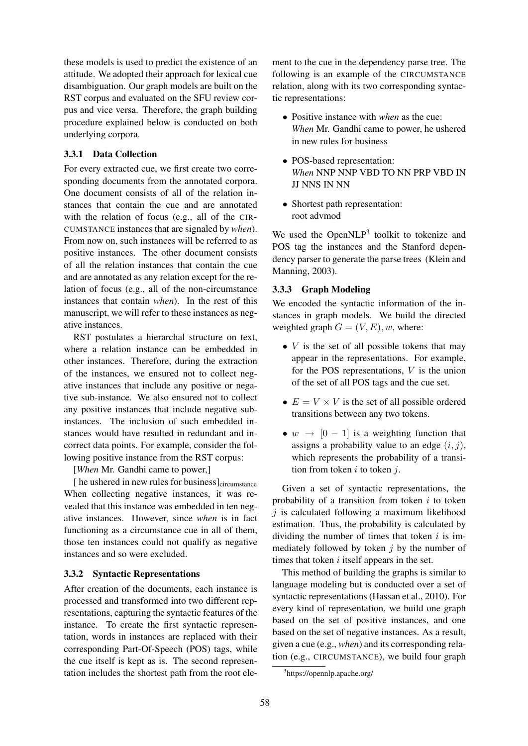these models is used to predict the existence of an attitude. We adopted their approach for lexical cue disambiguation. Our graph models are built on the RST corpus and evaluated on the SFU review corpus and vice versa. Therefore, the graph building procedure explained below is conducted on both underlying corpora.

### 3.3.1 Data Collection

For every extracted cue, we first create two corresponding documents from the annotated corpora. One document consists of all of the relation instances that contain the cue and are annotated with the relation of focus (e.g., all of the CIR-CUMSTANCE instances that are signaled by *when*). From now on, such instances will be referred to as positive instances. The other document consists of all the relation instances that contain the cue and are annotated as any relation except for the relation of focus (e.g., all of the non-circumstance instances that contain *when*). In the rest of this manuscript, we will refer to these instances as negative instances.

RST postulates a hierarchal structure on text, where a relation instance can be embedded in other instances. Therefore, during the extraction of the instances, we ensured not to collect negative instances that include any positive or negative sub-instance. We also ensured not to collect any positive instances that include negative subinstances. The inclusion of such embedded instances would have resulted in redundant and incorrect data points. For example, consider the following positive instance from the RST corpus:

[*When* Mr. Gandhi came to power,]

[ he ushered in new rules for business]<sub>circumstance</sub> When collecting negative instances, it was revealed that this instance was embedded in ten negative instances. However, since *when* is in fact functioning as a circumstance cue in all of them, those ten instances could not qualify as negative instances and so were excluded.

### 3.3.2 Syntactic Representations

After creation of the documents, each instance is processed and transformed into two different representations, capturing the syntactic features of the instance. To create the first syntactic representation, words in instances are replaced with their corresponding Part-Of-Speech (POS) tags, while the cue itself is kept as is. The second representation includes the shortest path from the root ele-

ment to the cue in the dependency parse tree. The following is an example of the CIRCUMSTANCE relation, along with its two corresponding syntactic representations:

- Positive instance with *when* as the cue: *When* Mr. Gandhi came to power, he ushered in new rules for business
- POS-based representation: *When* NNP NNP VBD TO NN PRP VBD IN JJ NNS IN NN
- Shortest path representation: root advmod

We used the Open $NLP<sup>3</sup>$  toolkit to tokenize and POS tag the instances and the Stanford dependency parser to generate the parse trees (Klein and Manning, 2003).

## 3.3.3 Graph Modeling

We encoded the syntactic information of the instances in graph models. We build the directed weighted graph  $G = (V, E), w$ , where:

- $\bullet$  *V* is the set of all possible tokens that may appear in the representations. For example, for the POS representations, V is the union of the set of all POS tags and the cue set.
- $E = V \times V$  is the set of all possible ordered transitions between any two tokens.
- $w \rightarrow [0 1]$  is a weighting function that assigns a probability value to an edge  $(i, j)$ , which represents the probability of a transition from token  $i$  to token  $j$ .

Given a set of syntactic representations, the probability of a transition from token  $i$  to token  $j$  is calculated following a maximum likelihood estimation. Thus, the probability is calculated by dividing the number of times that token  $i$  is immediately followed by token  $i$  by the number of times that token  $i$  itself appears in the set.

This method of building the graphs is similar to language modeling but is conducted over a set of syntactic representations (Hassan et al., 2010). For every kind of representation, we build one graph based on the set of positive instances, and one based on the set of negative instances. As a result, given a cue (e.g., *when*) and its corresponding relation (e.g., CIRCUMSTANCE), we build four graph

<sup>3</sup> https://opennlp.apache.org/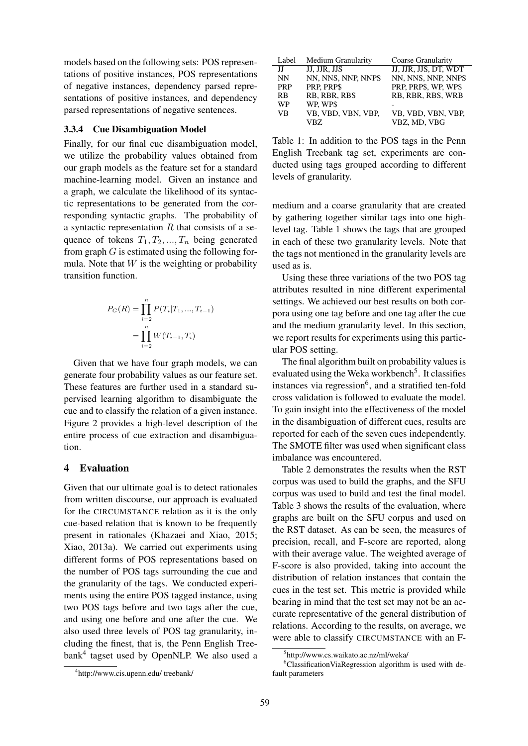models based on the following sets: POS representations of positive instances, POS representations of negative instances, dependency parsed representations of positive instances, and dependency parsed representations of negative sentences.

#### 3.3.4 Cue Disambiguation Model

Finally, for our final cue disambiguation model, we utilize the probability values obtained from our graph models as the feature set for a standard machine-learning model. Given an instance and a graph, we calculate the likelihood of its syntactic representations to be generated from the corresponding syntactic graphs. The probability of a syntactic representation  $R$  that consists of a sequence of tokens  $T_1, T_2, ..., T_n$  being generated from graph  $G$  is estimated using the following formula. Note that  $W$  is the weighting or probability transition function.

$$
P_G(R) = \prod_{i=2}^n P(T_i|T_1, ..., T_{i-1})
$$

$$
= \prod_{i=2}^n W(T_{i-1}, T_i)
$$

Given that we have four graph models, we can generate four probability values as our feature set. These features are further used in a standard supervised learning algorithm to disambiguate the cue and to classify the relation of a given instance. Figure 2 provides a high-level description of the entire process of cue extraction and disambiguation.

#### 4 Evaluation

Given that our ultimate goal is to detect rationales from written discourse, our approach is evaluated for the CIRCUMSTANCE relation as it is the only cue-based relation that is known to be frequently present in rationales (Khazaei and Xiao, 2015; Xiao, 2013a). We carried out experiments using different forms of POS representations based on the number of POS tags surrounding the cue and the granularity of the tags. We conducted experiments using the entire POS tagged instance, using two POS tags before and two tags after the cue, and using one before and one after the cue. We also used three levels of POS tag granularity, including the finest, that is, the Penn English Treebank<sup>4</sup> tagset used by OpenNLP. We also used a

| Label      | Medium Granularity | Coarse Granularity    |
|------------|--------------------|-----------------------|
| П          | JJ. JJR. JJS       | JJ, JJR, JJS, DT, WDT |
| <b>NN</b>  | NN, NNS, NNP, NNPS | NN, NNS, NNP, NNPS    |
| <b>PRP</b> | PRP, PRP\$         | PRP, PRP\$, WP, WP\$  |
| <b>RB</b>  | RB, RBR, RBS       | RB, RBR, RBS, WRB     |
| WP         | WP. WP\$           |                       |
| <b>VB</b>  | VB, VBD, VBN, VBP, | VB, VBD, VBN, VBP,    |
|            | VBZ.               | VBZ, MD, VBG          |

Table 1: In addition to the POS tags in the Penn English Treebank tag set, experiments are conducted using tags grouped according to different levels of granularity.

medium and a coarse granularity that are created by gathering together similar tags into one highlevel tag. Table 1 shows the tags that are grouped in each of these two granularity levels. Note that the tags not mentioned in the granularity levels are used as is.

Using these three variations of the two POS tag attributes resulted in nine different experimental settings. We achieved our best results on both corpora using one tag before and one tag after the cue and the medium granularity level. In this section, we report results for experiments using this particular POS setting.

The final algorithm built on probability values is evaluated using the Weka workbench<sup>5</sup>. It classifies instances via regression<sup>6</sup>, and a stratified ten-fold cross validation is followed to evaluate the model. To gain insight into the effectiveness of the model in the disambiguation of different cues, results are reported for each of the seven cues independently. The SMOTE filter was used when significant class imbalance was encountered.

Table 2 demonstrates the results when the RST corpus was used to build the graphs, and the SFU corpus was used to build and test the final model. Table 3 shows the results of the evaluation, where graphs are built on the SFU corpus and used on the RST dataset. As can be seen, the measures of precision, recall, and F-score are reported, along with their average value. The weighted average of F-score is also provided, taking into account the distribution of relation instances that contain the cues in the test set. This metric is provided while bearing in mind that the test set may not be an accurate representative of the general distribution of relations. According to the results, on average, we were able to classify CIRCUMSTANCE with an F-

<sup>4</sup> http://www.cis.upenn.edu/ treebank/

<sup>5</sup> http://www.cs.waikato.ac.nz/ml/weka/

<sup>&</sup>lt;sup>6</sup>ClassificationViaRegression algorithm is used with default parameters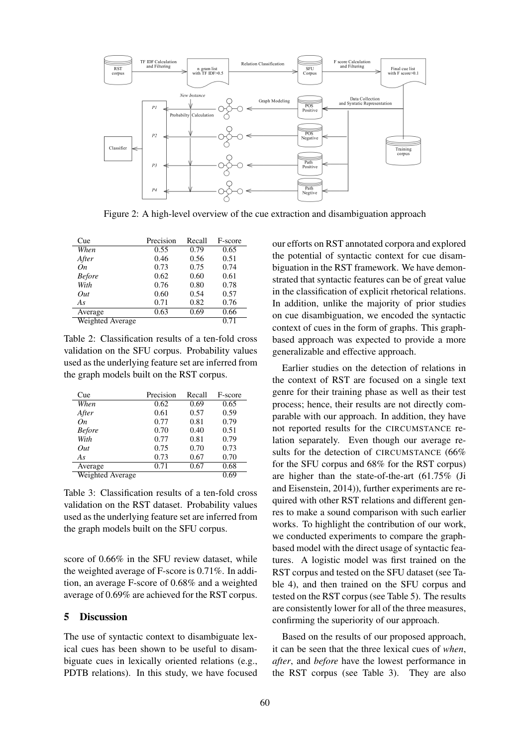

Figure 2: A high-level overview of the cue extraction and disambiguation approach

| Cue              | Precision | Recall | F-score |
|------------------|-----------|--------|---------|
| When             | 0.55      | 0.79   | 0.65    |
| After            | 0.46      | 0.56   | 0.51    |
| On               | 0.73      | 0.75   | 0.74    |
| <b>Before</b>    | 0.62      | 0.60   | 0.61    |
| With             | 0.76      | 0.80   | 0.78    |
| Out              | 0.60      | 0.54   | 0.57    |
| As               | 0.71      | 0.82   | 0.76    |
| Average          | 0.63      | 0.69   | 0.66    |
| Weighted Average |           |        | 0.71    |

Table 2: Classification results of a ten-fold cross validation on the SFU corpus. Probability values used as the underlying feature set are inferred from the graph models built on the RST corpus.

| Cue              | Precision | Recall | F-score |
|------------------|-----------|--------|---------|
| When             | 0.62      | 0.69   | 0.65    |
| After            | 0.61      | 0.57   | 0.59    |
| On               | 0.77      | 0.81   | 0.79    |
| <b>Before</b>    | 0.70      | 0.40   | 0.51    |
| With             | 0.77      | 0.81   | 0.79    |
| Out              | 0.75      | 0.70   | 0.73    |
| As               | 0.73      | 0.67   | 0.70    |
| Average          | 0.71      | 0.67   | 0.68    |
| Weighted Average |           |        | 0.69    |

Table 3: Classification results of a ten-fold cross validation on the RST dataset. Probability values used as the underlying feature set are inferred from the graph models built on the SFU corpus.

score of 0.66% in the SFU review dataset, while the weighted average of F-score is 0.71%. In addition, an average F-score of 0.68% and a weighted average of 0.69% are achieved for the RST corpus.

### 5 Discussion

The use of syntactic context to disambiguate lexical cues has been shown to be useful to disambiguate cues in lexically oriented relations (e.g., PDTB relations). In this study, we have focused our efforts on RST annotated corpora and explored the potential of syntactic context for cue disambiguation in the RST framework. We have demonstrated that syntactic features can be of great value in the classification of explicit rhetorical relations. In addition, unlike the majority of prior studies on cue disambiguation, we encoded the syntactic context of cues in the form of graphs. This graphbased approach was expected to provide a more generalizable and effective approach.

Earlier studies on the detection of relations in the context of RST are focused on a single text genre for their training phase as well as their test process; hence, their results are not directly comparable with our approach. In addition, they have not reported results for the CIRCUMSTANCE relation separately. Even though our average results for the detection of CIRCUMSTANCE (66% for the SFU corpus and 68% for the RST corpus) are higher than the state-of-the-art (61.75% (Ji and Eisenstein, 2014)), further experiments are required with other RST relations and different genres to make a sound comparison with such earlier works. To highlight the contribution of our work, we conducted experiments to compare the graphbased model with the direct usage of syntactic features. A logistic model was first trained on the RST corpus and tested on the SFU dataset (see Table 4), and then trained on the SFU corpus and tested on the RST corpus (see Table 5). The results are consistently lower for all of the three measures, confirming the superiority of our approach.

Based on the results of our proposed approach, it can be seen that the three lexical cues of *when*, *after*, and *before* have the lowest performance in the RST corpus (see Table 3). They are also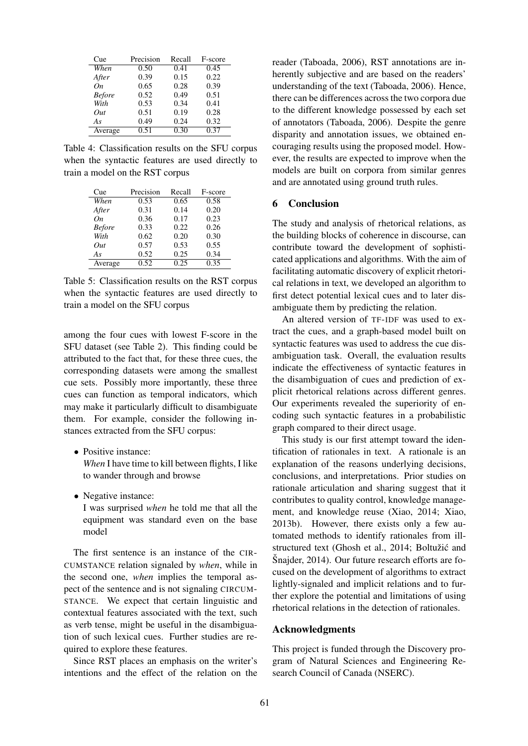| Cue           | Precision | Recall | F-score |
|---------------|-----------|--------|---------|
| When          | 0.50      | 0.41   | 0.45    |
| After         | 0.39      | 0.15   | 0.22    |
| On            | 0.65      | 0.28   | 0.39    |
| <b>Before</b> | 0.52      | 0.49   | 0.51    |
| With          | 0.53      | 0.34   | 0.41    |
| Out           | 0.51      | 0.19   | 0.28    |
| As            | 0.49      | 0.24   | 0.32    |
| Average       | 0.51      | 0.30   | 0.37    |

Table 4: Classification results on the SFU corpus when the syntactic features are used directly to train a model on the RST corpus

| Cue           | Precision         | Recall | F-score |
|---------------|-------------------|--------|---------|
| When          | 0.53              | 0.65   | 0.58    |
| After         | 0.31              | 0.14   | 0.20    |
| On            | 0.36              | 0.17   | 0.23    |
| <b>Before</b> | 0.33              | 0.22   | 0.26    |
| With          | 0.62              | 0.20   | 0.30    |
| Out           | 0.57              | 0.53   | 0.55    |
| As            | 0.52              | 0.25   | 0.34    |
| Average       | $\overline{0.52}$ | 0.25   | 0.35    |

Table 5: Classification results on the RST corpus when the syntactic features are used directly to train a model on the SFU corpus

among the four cues with lowest F-score in the SFU dataset (see Table 2). This finding could be attributed to the fact that, for these three cues, the corresponding datasets were among the smallest cue sets. Possibly more importantly, these three cues can function as temporal indicators, which may make it particularly difficult to disambiguate them. For example, consider the following instances extracted from the SFU corpus:

• Positive instance:

*When* I have time to kill between flights, I like to wander through and browse

• Negative instance:

I was surprised *when* he told me that all the equipment was standard even on the base model

The first sentence is an instance of the CIR-CUMSTANCE relation signaled by *when*, while in the second one, *when* implies the temporal aspect of the sentence and is not signaling CIRCUM-STANCE. We expect that certain linguistic and contextual features associated with the text, such as verb tense, might be useful in the disambiguation of such lexical cues. Further studies are required to explore these features.

Since RST places an emphasis on the writer's intentions and the effect of the relation on the

reader (Taboada, 2006), RST annotations are inherently subjective and are based on the readers' understanding of the text (Taboada, 2006). Hence, there can be differences across the two corpora due to the different knowledge possessed by each set of annotators (Taboada, 2006). Despite the genre disparity and annotation issues, we obtained encouraging results using the proposed model. However, the results are expected to improve when the models are built on corpora from similar genres and are annotated using ground truth rules.

#### 6 Conclusion

The study and analysis of rhetorical relations, as the building blocks of coherence in discourse, can contribute toward the development of sophisticated applications and algorithms. With the aim of facilitating automatic discovery of explicit rhetorical relations in text, we developed an algorithm to first detect potential lexical cues and to later disambiguate them by predicting the relation.

An altered version of TF-IDF was used to extract the cues, and a graph-based model built on syntactic features was used to address the cue disambiguation task. Overall, the evaluation results indicate the effectiveness of syntactic features in the disambiguation of cues and prediction of explicit rhetorical relations across different genres. Our experiments revealed the superiority of encoding such syntactic features in a probabilistic graph compared to their direct usage.

This study is our first attempt toward the identification of rationales in text. A rationale is an explanation of the reasons underlying decisions, conclusions, and interpretations. Prior studies on rationale articulation and sharing suggest that it contributes to quality control, knowledge management, and knowledge reuse (Xiao, 2014; Xiao, 2013b). However, there exists only a few automated methods to identify rationales from illstructured text (Ghosh et al., 2014; Boltužić and  $\text{Snajder}, 2014$ ). Our future research efforts are focused on the development of algorithms to extract lightly-signaled and implicit relations and to further explore the potential and limitations of using rhetorical relations in the detection of rationales.

#### Acknowledgments

This project is funded through the Discovery program of Natural Sciences and Engineering Research Council of Canada (NSERC).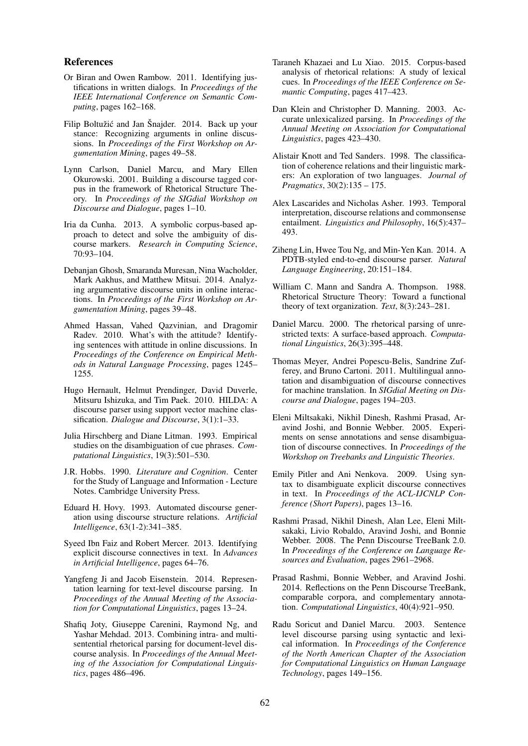#### References

- Or Biran and Owen Rambow. 2011. Identifying justifications in written dialogs. In *Proceedings of the IEEE International Conference on Semantic Computing*, pages 162–168.
- Filip Boltužić and Jan Šnajder. 2014. Back up your stance: Recognizing arguments in online discussions. In *Proceedings of the First Workshop on Argumentation Mining*, pages 49–58.
- Lynn Carlson, Daniel Marcu, and Mary Ellen Okurowski. 2001. Building a discourse tagged corpus in the framework of Rhetorical Structure Theory. In *Proceedings of the SIGdial Workshop on Discourse and Dialogue*, pages 1–10.
- Iria da Cunha. 2013. A symbolic corpus-based approach to detect and solve the ambiguity of discourse markers. *Research in Computing Science*, 70:93–104.
- Debanjan Ghosh, Smaranda Muresan, Nina Wacholder, Mark Aakhus, and Matthew Mitsui. 2014. Analyzing argumentative discourse units in online interactions. In *Proceedings of the First Workshop on Argumentation Mining*, pages 39–48.
- Ahmed Hassan, Vahed Qazvinian, and Dragomir Radev. 2010. What's with the attitude? Identifying sentences with attitude in online discussions. In *Proceedings of the Conference on Empirical Methods in Natural Language Processing*, pages 1245– 1255.
- Hugo Hernault, Helmut Prendinger, David Duverle, Mitsuru Ishizuka, and Tim Paek. 2010. HILDA: A discourse parser using support vector machine classification. *Dialogue and Discourse*, 3(1):1–33.
- Julia Hirschberg and Diane Litman. 1993. Empirical studies on the disambiguation of cue phrases. *Computational Linguistics*, 19(3):501–530.
- J.R. Hobbs. 1990. *Literature and Cognition*. Center for the Study of Language and Information - Lecture Notes. Cambridge University Press.
- Eduard H. Hovy. 1993. Automated discourse generation using discourse structure relations. *Artificial Intelligence*, 63(1-2):341–385.
- Syeed Ibn Faiz and Robert Mercer. 2013. Identifying explicit discourse connectives in text. In *Advances in Artificial Intelligence*, pages 64–76.
- Yangfeng Ji and Jacob Eisenstein. 2014. Representation learning for text-level discourse parsing. In *Proceedings of the Annual Meeting of the Association for Computational Linguistics*, pages 13–24.
- Shafiq Joty, Giuseppe Carenini, Raymond Ng, and Yashar Mehdad. 2013. Combining intra- and multisentential rhetorical parsing for document-level discourse analysis. In *Proceedings of the Annual Meeting of the Association for Computational Linguistics*, pages 486–496.
- Taraneh Khazaei and Lu Xiao. 2015. Corpus-based analysis of rhetorical relations: A study of lexical cues. In *Proceedings of the IEEE Conference on Semantic Computing*, pages 417–423.
- Dan Klein and Christopher D. Manning. 2003. Accurate unlexicalized parsing. In *Proceedings of the Annual Meeting on Association for Computational Linguistics*, pages 423–430.
- Alistair Knott and Ted Sanders. 1998. The classification of coherence relations and their linguistic markers: An exploration of two languages. *Journal of Pragmatics*, 30(2):135 – 175.
- Alex Lascarides and Nicholas Asher. 1993. Temporal interpretation, discourse relations and commonsense entailment. *Linguistics and Philosophy*, 16(5):437– 493.
- Ziheng Lin, Hwee Tou Ng, and Min-Yen Kan. 2014. A PDTB-styled end-to-end discourse parser. *Natural Language Engineering*, 20:151–184.
- William C. Mann and Sandra A. Thompson. 1988. Rhetorical Structure Theory: Toward a functional theory of text organization. *Text*, 8(3):243–281.
- Daniel Marcu. 2000. The rhetorical parsing of unrestricted texts: A surface-based approach. *Computational Linguistics*, 26(3):395–448.
- Thomas Meyer, Andrei Popescu-Belis, Sandrine Zufferey, and Bruno Cartoni. 2011. Multilingual annotation and disambiguation of discourse connectives for machine translation. In *SIGdial Meeting on Discourse and Dialogue*, pages 194–203.
- Eleni Miltsakaki, Nikhil Dinesh, Rashmi Prasad, Aravind Joshi, and Bonnie Webber. 2005. Experiments on sense annotations and sense disambiguation of discourse connectives. In *Proceedings of the Workshop on Treebanks and Linguistic Theories*.
- Emily Pitler and Ani Nenkova. 2009. Using syntax to disambiguate explicit discourse connectives in text. In *Proceedings of the ACL-IJCNLP Conference (Short Papers)*, pages 13–16.
- Rashmi Prasad, Nikhil Dinesh, Alan Lee, Eleni Miltsakaki, Livio Robaldo, Aravind Joshi, and Bonnie Webber. 2008. The Penn Discourse TreeBank 2.0. In *Proceedings of the Conference on Language Resources and Evaluation*, pages 2961–2968.
- Prasad Rashmi, Bonnie Webber, and Aravind Joshi. 2014. Reflections on the Penn Discourse TreeBank, comparable corpora, and complementary annotation. *Computational Linguistics*, 40(4):921–950.
- Radu Soricut and Daniel Marcu. 2003. Sentence level discourse parsing using syntactic and lexical information. In *Proceedings of the Conference of the North American Chapter of the Association for Computational Linguistics on Human Language Technology*, pages 149–156.